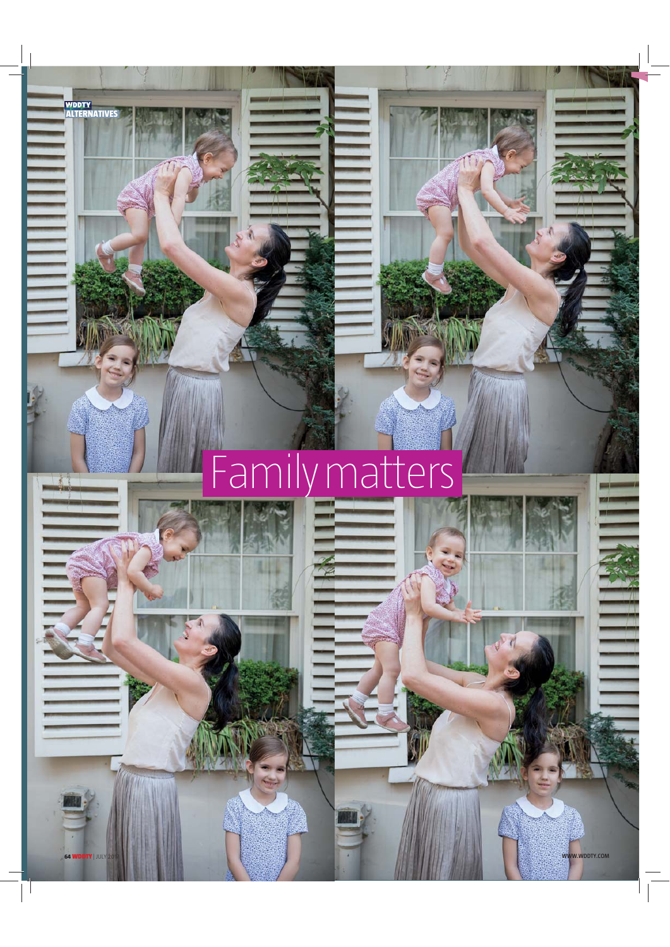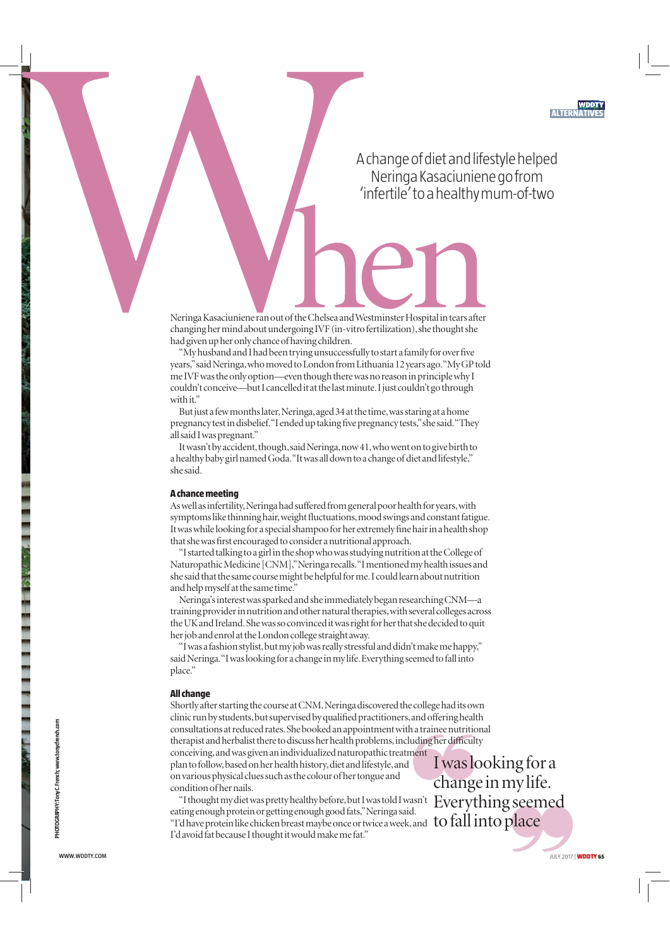

A change of diet and lifestyle helped Neringa Kasaciuniene go from 'infertile' to a healthy mum-of-two

Neringa Kasaciuniene ran out of the Chelsea and Westminster Hospital in tears after changing her mind about undergoing IVF (in-vitro fertilization), she thought she had given up her only chance of having children.

"My husband and I had been trying unsuccessfully to start a family for over five years," said Neringa, who moved to London from Lithuania 12 years ago. "My GP told me IVF was the only option—even though there was no reason in principle why I couldn't conceive—but I cancelled it at the last minute. I just couldn't go through with it."

But just a few months later, Neringa, aged 34 at the time, was staring at a home pregnancy test in disbelief. "I ended up taking five pregnancy tests," she said. "They all said I was pregnant."

It wasn't by accident, though, said Neringa, now 41, who went on to give birth to a healthy baby girl named Goda. "It was all down to a change of diet and lifestyle," she said.

#### **A chance meeting**

As well as infertility, Neringa had suffered from general poor health for years, with symptoms like thinning hair, weight fluctuations, mood swings and constant fatigue. It was while looking for a special shampoo for her extremely fine hair in a health shop that she was first encouraged to consider a nutritional approach.

"I started talking to a girl in the shop who was studying nutrition at the College of Naturopathic Medicine [CNM]," Neringa recalls. "I mentioned my health issues and she said that the same course might be helpful for me. I could learn about nutrition and help myself at the same time."

Neringa's interest was sparked and she immediately began researching CNM—a training provider in nutrition and other natural therapies, with several colleges across the UK and Ireland. She was so convinced it was right for her that she decided to quit her job and enrol at the London college straight away.

"I was a fashion stylist, but my job was really stressful and didn't make me happy," said Neringa. "I was looking for a change in my life. Everything seemed to fall into place."

#### **All change**

Shortly after starting the course at CNM, Neringa discovered the college had its own clinic run by students, but supervised by qualified practitioners, and offering health consultations at reduced rates. She booked an appointment with a trainee nutritional therapist and herbalist there to discuss her health problems, including her difficulty conceiving, and was given an individualized naturopathic treatment plan to follow, based on her health history, diet and lifestyle, and

on various physical clues such as the colour of her tongue and condition of her nails.

"I thought my diet was pretty healthy before, but I was told I wasn't Everything seemed eating enough protein or getting enough good fats," Neringa said. <sup>e</sup> Td have protein like chicken breast maybe once or twice a week, and **to fall into place** I'd avoid fat because I thought it would make me fat."

I was looking for a change in my life.

**CONSIGNATION** 

**WWW.WDDTY.COM**JULY 2017 | **WDDTY 65**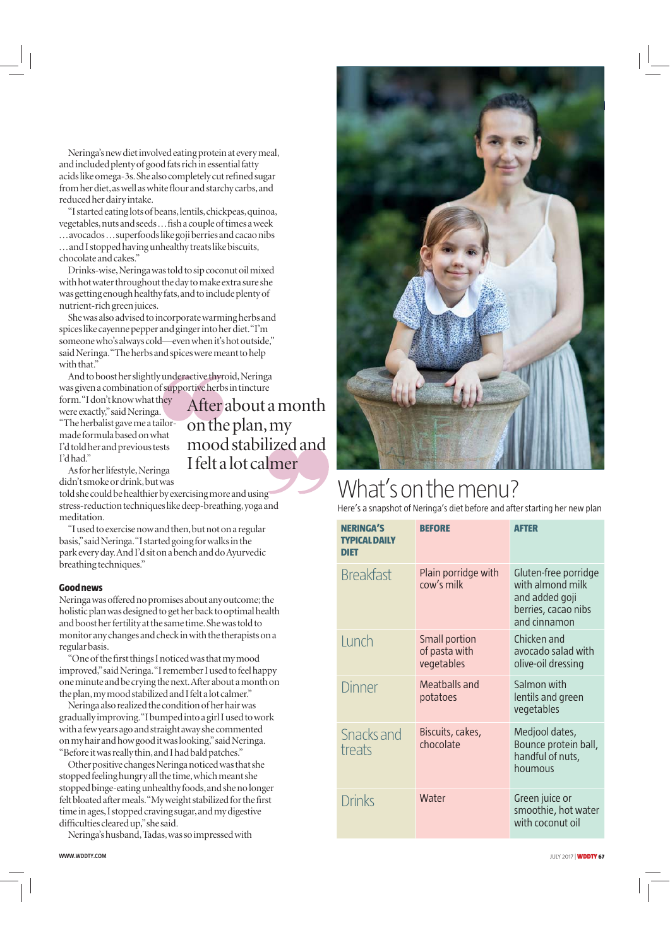Neringa's new diet involved eating protein at every meal, and included plenty of good fats rich in essential fatty acids like omega-3s. She also completely cut refined sugar from her diet, as well as white flour and starchy carbs, and reduced her dairy intake.

"I started eating lots of beans, lentils, chickpeas, quinoa, vegetables, nuts and seeds . . . fish a couple of times a week . . . avocados . . . superfoods like goji berries and cacao nibs . . . and I stopped having unhealthy treats like biscuits, chocolate and cakes."

Drinks-wise, Neringa was told to sip coconut oil mixed with hot water throughout the day to make extra sure she was getting enough healthy fats, and to include plenty of nutrient-rich green juices.

She was also advised to incorporate warming herbs and spices like cayenne pepper and ginger into her diet. "I'm someone who's always cold—even when it's hot outside," said Neringa. "The herbs and spices were meant to help with that."

And to boost her slightly underactive thyroid, Neringa was given a combination of supportive herbs in tincture

form. "I don't know what they were exactly," said Neringa. "The herbalist gave me a tailormade formula based on what I'd told her and previous tests

After about a month on the plan, my mood stabilized and I felt a lot calmer

I'd had." As for her lifestyle, Neringa didn't smoke or drink, but was

told she could be healthier by exercising more and using stress-reduction techniques like deep-breathing, yoga and meditation.

"I used to exercise now and then, but not on a regular basis," said Neringa. "I started going for walks in the park every day. And I'd sit on a bench and do Ayurvedic breathing techniques."

#### **Good news**

Neringa was offered no promises about any outcome; the holistic plan was designed to get her back to optimal health and boost her fertility at the same time. She was told to monitor any changes and check in with the therapists on a regular basis.

"One of the first things I noticed was that my mood improved," said Neringa. "I remember I used to feel happy one minute and be crying the next. After about a month on the plan, my mood stabilized and I felt a lot calmer."

Neringa also realized the condition of her hair was gradually improving. "I bumped into a girl I used to work with a few years ago and straight away she commented on my hair and how good it was looking," said Neringa. "Before it was really thin, and I had bald patches."

Other positive changes Neringa noticed was that she stopped feeling hungry all the time, which meant she stopped binge-eating unhealthy foods, and she no longer felt bloated after meals. "My weight stabilized for the first time in ages, I stopped craving sugar, and my digestive difficulties cleared up," she said.

Neringa's husband, Tadas, was so impressed with



## What's on the menu?

Here's a snapshot of Neringa's diet before and after starting her new plan

| <b>NERINGA'S</b><br>ΤΥΡΙΣΔΙ DAILY<br>DIET | <b>REFORE</b>                                | <b>AFTER</b>                                                                                      |
|-------------------------------------------|----------------------------------------------|---------------------------------------------------------------------------------------------------|
| <b>Breakfast</b>                          | Plain porridge with<br>cow's milk            | Gluten-free porridge<br>with almond milk<br>and added goji<br>berries, cacao nibs<br>and cinnamon |
| Lunch                                     | Small portion<br>of pasta with<br>vegetables | Chicken and<br>avocado salad with<br>olive-oil dressing                                           |
| Dinner                                    | Meatballs and<br>potatoes                    | Salmon with<br>lentils and green<br>vegetables                                                    |
| Snacks and<br>treats                      | Biscuits, cakes,<br>chocolate                | Medjool dates,<br>Bounce protein ball,<br>handful of nuts,<br>houmous                             |
| <b>Drinks</b>                             | Water                                        | Green juice or<br>smoothie, hot water<br>with coconut oil                                         |